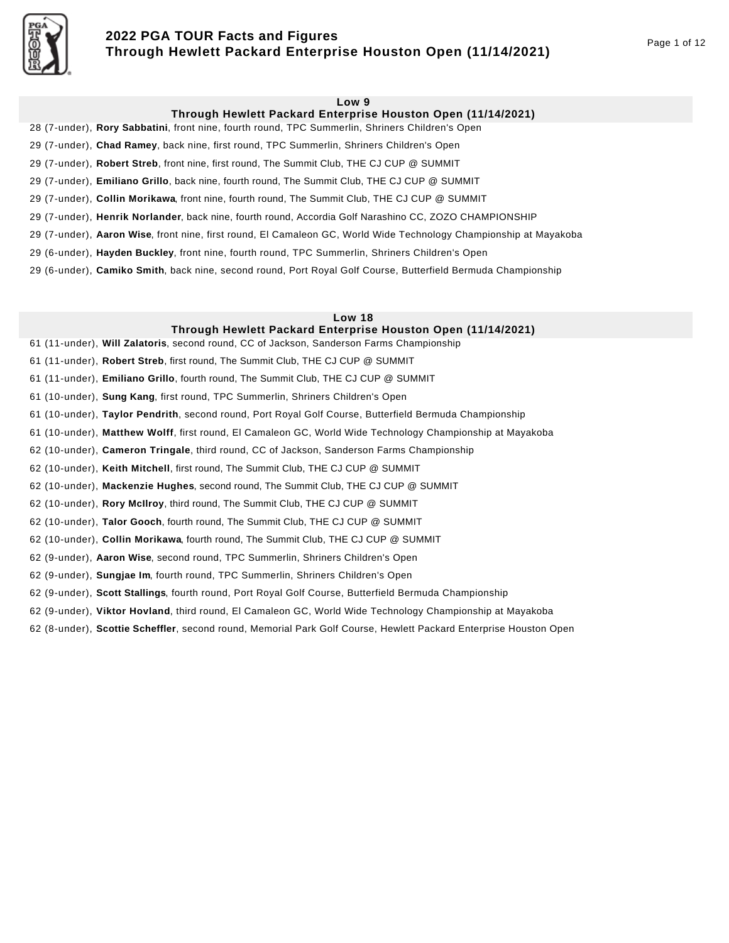

# **2022 PGA TOUR Facts and Figures Through Hewlett Packard Enterprise Houston Open (11/14/2021)** Page 1 of 12

### **Low 9**

| Through Hewlett Packard Enterprise Houston Open (11/14/2021)                                                      |
|-------------------------------------------------------------------------------------------------------------------|
| 28 (7-under), Rory Sabbatini, front nine, fourth round, TPC Summerlin, Shriners Children's Open                   |
| 29 (7-under), Chad Ramey, back nine, first round, TPC Summerlin, Shriners Children's Open                         |
| 29 (7-under), Robert Streb, front nine, first round, The Summit Club, THE CJ CUP @ SUMMIT                         |
| 29 (7-under), Emiliano Grillo, back nine, fourth round, The Summit Club, THE CJ CUP @ SUMMIT                      |
| 29 (7-under), Collin Morikawa, front nine, fourth round, The Summit Club, THE CJ CUP @ SUMMIT                     |
| 29 (7-under), Henrik Norlander, back nine, fourth round, Accordia Golf Narashino CC, ZOZO CHAMPIONSHIP            |
| 29 (7-under), Aaron Wise, front nine, first round, El Camaleon GC, World Wide Technology Championship at Mayakoba |
| 29 (6-under), Hayden Buckley, front nine, fourth round, TPC Summerlin, Shriners Children's Open                   |

29 (6-under), **Camiko Smith**, back nine, second round, Port Royal Golf Course, Butterfield Bermuda Championship

# **Low 18**

| Through Hewlett Packard Enterprise Houston Open (11/14/2021)                                                      |
|-------------------------------------------------------------------------------------------------------------------|
| 61 (11-under), Will Zalatoris, second round, CC of Jackson, Sanderson Farms Championship                          |
| 61 (11-under), Robert Streb, first round, The Summit Club, THE CJ CUP @ SUMMIT                                    |
| 61 (11-under), Emiliano Grillo, fourth round, The Summit Club, THE CJ CUP @ SUMMIT                                |
| 61 (10-under), Sung Kang, first round, TPC Summerlin, Shriners Children's Open                                    |
| 61 (10-under), Taylor Pendrith, second round, Port Royal Golf Course, Butterfield Bermuda Championship            |
| 61 (10-under), Matthew Wolff, first round, El Camaleon GC, World Wide Technology Championship at Mayakoba         |
| 62 (10-under), Cameron Tringale, third round, CC of Jackson, Sanderson Farms Championship                         |
| 62 (10-under), Keith Mitchell, first round, The Summit Club, THE CJ CUP @ SUMMIT                                  |
| 62 (10-under), Mackenzie Hughes, second round, The Summit Club, THE CJ CUP @ SUMMIT                               |
| 62 (10-under), Rory McIlroy, third round, The Summit Club, THE CJ CUP @ SUMMIT                                    |
| 62 (10-under), Talor Gooch, fourth round, The Summit Club, THE CJ CUP @ SUMMIT                                    |
| 62 (10-under), Collin Morikawa, fourth round, The Summit Club, THE CJ CUP @ SUMMIT                                |
| 62 (9-under), Aaron Wise, second round, TPC Summerlin, Shriners Children's Open                                   |
| 62 (9-under), <b>Sungjae Im</b> , fourth round, TPC Summerlin, Shriners Children's Open                           |
| 62 (9-under), Scott Stallings, fourth round, Port Royal Golf Course, Butterfield Bermuda Championship             |
| 62 (9-under), Viktor Hovland, third round, El Camaleon GC, World Wide Technology Championship at Mayakoba         |
| 62 (8-under), Scottie Scheffler, second round, Memorial Park Golf Course, Hewlett Packard Enterprise Houston Open |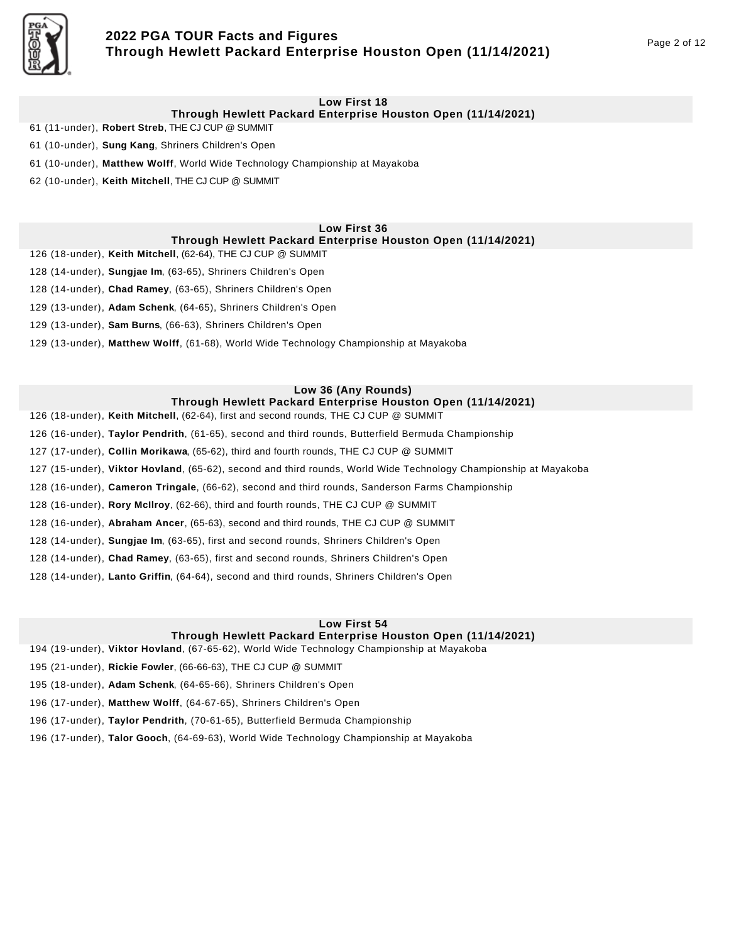

# **2022 PGA TOUR Facts and Figures Through Hewlett Packard Enterprise Houston Open (11/14/2021)** Page 2 of 12

## **Low First 18**

**Through Hewlett Packard Enterprise Houston Open (11/14/2021)** 

61 (11-under), **Robert Streb**, THE CJ CUP @ SUMMIT

61 (10-under), **Sung Kang**, Shriners Children's Open

61 (10-under), **Matthew Wolff**, World Wide Technology Championship at Mayakoba

62 (10-under), **Keith Mitchell**, THE CJ CUP @ SUMMIT

**Low First 36 Through Hewlett Packard Enterprise Houston Open (11/14/2021)**  126 (18-under), **Keith Mitchell**, (62-64), THE CJ CUP @ SUMMIT 128 (14-under), **Sungjae Im**, (63-65), Shriners Children's Open 128 (14-under), **Chad Ramey**, (63-65), Shriners Children's Open 129 (13-under), **Adam Schenk**, (64-65), Shriners Children's Open

129 (13-under), **Sam Burns**, (66-63), Shriners Children's Open

129 (13-under), **Matthew Wolff**, (61-68), World Wide Technology Championship at Mayakoba

#### **Low 36 (Any Rounds)**

#### **Through Hewlett Packard Enterprise Houston Open (11/14/2021)**

126 (18-under), **Keith Mitchell**, (62-64), first and second rounds, THE CJ CUP @ SUMMIT

126 (16-under), **Taylor Pendrith**, (61-65), second and third rounds, Butterfield Bermuda Championship

127 (17-under), **Collin Morikawa**, (65-62), third and fourth rounds, THE CJ CUP @ SUMMIT

127 (15-under), **Viktor Hovland**, (65-62), second and third rounds, World Wide Technology Championship at Mayakoba

128 (16-under), **Cameron Tringale**, (66-62), second and third rounds, Sanderson Farms Championship

128 (16-under), **Rory McIlroy**, (62-66), third and fourth rounds, THE CJ CUP @ SUMMIT

128 (16-under), **Abraham Ancer**, (65-63), second and third rounds, THE CJ CUP @ SUMMIT

128 (14-under), **Sungjae Im**, (63-65), first and second rounds, Shriners Children's Open

128 (14-under), **Chad Ramey**, (63-65), first and second rounds, Shriners Children's Open

128 (14-under), **Lanto Griffin**, (64-64), second and third rounds, Shriners Children's Open

#### **Low First 54**

## **Through Hewlett Packard Enterprise Houston Open (11/14/2021)**

194 (19-under), **Viktor Hovland**, (67-65-62), World Wide Technology Championship at Mayakoba

195 (21-under), **Rickie Fowler**, (66-66-63), THE CJ CUP @ SUMMIT

195 (18-under), **Adam Schenk**, (64-65-66), Shriners Children's Open

196 (17-under), **Matthew Wolff**, (64-67-65), Shriners Children's Open

196 (17-under), **Taylor Pendrith**, (70-61-65), Butterfield Bermuda Championship

196 (17-under), **Talor Gooch**, (64-69-63), World Wide Technology Championship at Mayakoba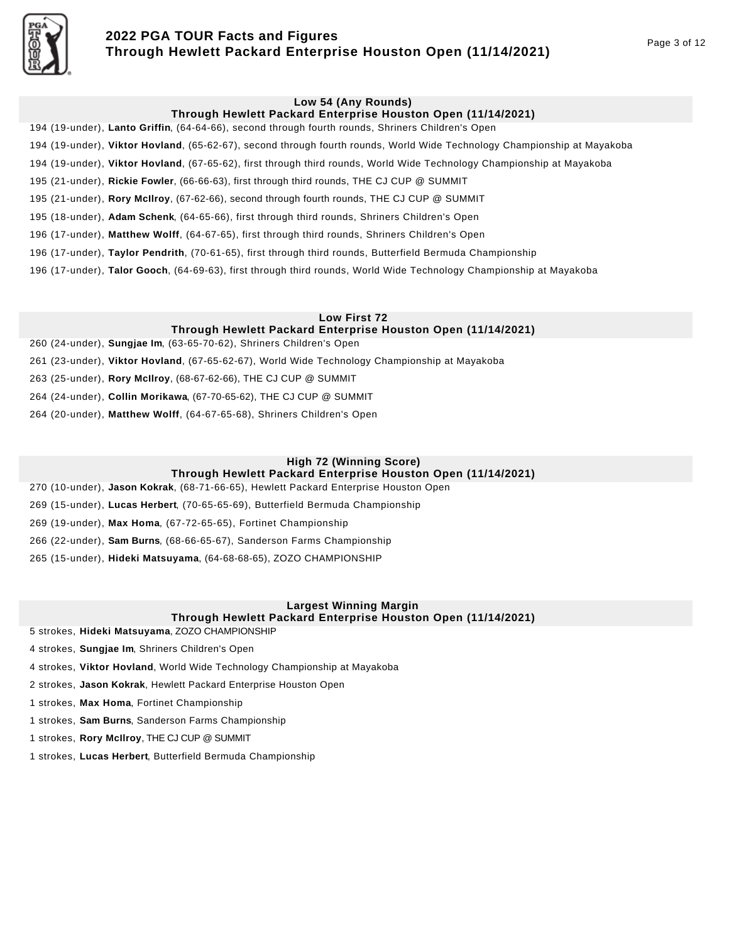

# **2022 PGA TOUR Facts and Figures Through Hewlett Packard Enterprise Houston Open (11/14/2021)** Page 3 of 12

## **Low 54 (Any Rounds)**

#### **Through Hewlett Packard Enterprise Houston Open (11/14/2021)**

194 (19-under), **Lanto Griffin**, (64-64-66), second through fourth rounds, Shriners Children's Open

- 194 (19-under), **Viktor Hovland**, (65-62-67), second through fourth rounds, World Wide Technology Championship at Mayakoba
- 194 (19-under), **Viktor Hovland**, (67-65-62), first through third rounds, World Wide Technology Championship at Mayakoba
- 195 (21-under), **Rickie Fowler**, (66-66-63), first through third rounds, THE CJ CUP @ SUMMIT
- 195 (21-under), **Rory McIlroy**, (67-62-66), second through fourth rounds, THE CJ CUP @ SUMMIT
- 195 (18-under), **Adam Schenk**, (64-65-66), first through third rounds, Shriners Children's Open
- 196 (17-under), **Matthew Wolff**, (64-67-65), first through third rounds, Shriners Children's Open
- 196 (17-under), **Taylor Pendrith**, (70-61-65), first through third rounds, Butterfield Bermuda Championship
- 196 (17-under), **Talor Gooch**, (64-69-63), first through third rounds, World Wide Technology Championship at Mayakoba

# **Low First 72**

# **Through Hewlett Packard Enterprise Houston Open (11/14/2021)**

260 (24-under), **Sungjae Im**, (63-65-70-62), Shriners Children's Open 261 (23-under), **Viktor Hovland**, (67-65-62-67), World Wide Technology Championship at Mayakoba 263 (25-under), **Rory McIlroy**, (68-67-62-66), THE CJ CUP @ SUMMIT 264 (24-under), **Collin Morikawa**, (67-70-65-62), THE CJ CUP @ SUMMIT 264 (20-under), **Matthew Wolff**, (64-67-65-68), Shriners Children's Open

# **High 72 (Winning Score)**

#### **Through Hewlett Packard Enterprise Houston Open (11/14/2021)**

- 270 (10-under), **Jason Kokrak**, (68-71-66-65), Hewlett Packard Enterprise Houston Open
- 269 (15-under), **Lucas Herbert**, (70-65-65-69), Butterfield Bermuda Championship
- 269 (19-under), **Max Homa**, (67-72-65-65), Fortinet Championship
- 266 (22-under), **Sam Burns**, (68-66-65-67), Sanderson Farms Championship
- 265 (15-under), **Hideki Matsuyama**, (64-68-68-65), ZOZO CHAMPIONSHIP

# **Largest Winning Margin**

# **Through Hewlett Packard Enterprise Houston Open (11/14/2021)**

- 5 strokes, **Hideki Matsuyama**, ZOZO CHAMPIONSHIP
- 4 strokes, **Sungjae Im**, Shriners Children's Open
- 4 strokes, **Viktor Hovland**, World Wide Technology Championship at Mayakoba
- 2 strokes, **Jason Kokrak**, Hewlett Packard Enterprise Houston Open
- 1 strokes, **Max Homa**, Fortinet Championship
- 1 strokes, **Sam Burns**, Sanderson Farms Championship
- 1 strokes, **Rory McIlroy**, THE CJ CUP @ SUMMIT
- 1 strokes, **Lucas Herbert**, Butterfield Bermuda Championship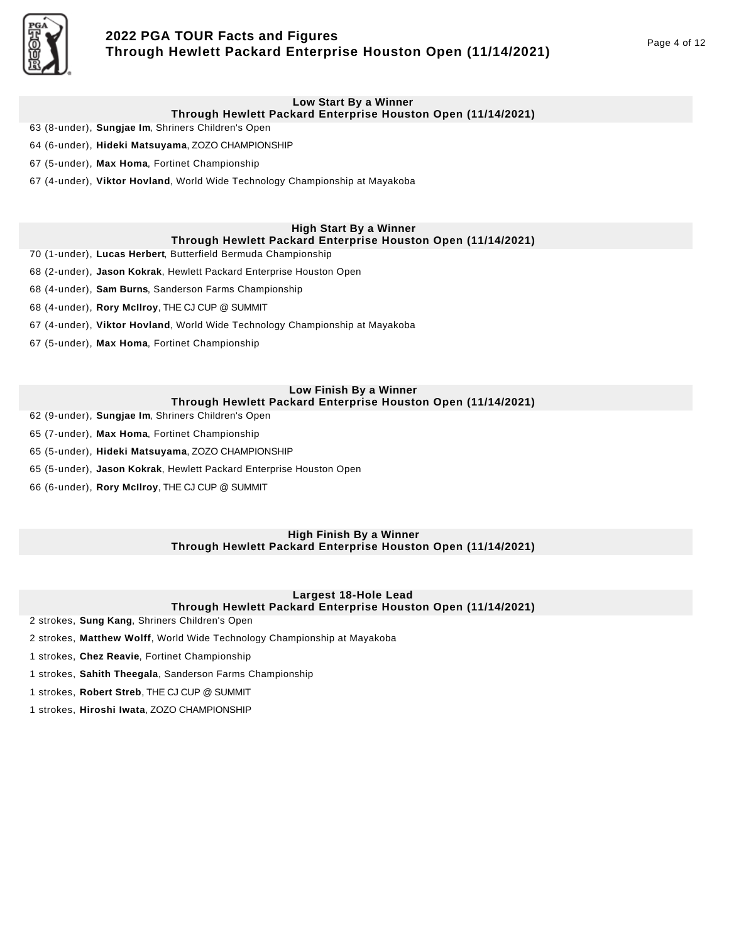

# **2022 PGA TOUR Facts and Figures Through Hewlett Packard Enterprise Houston Open (11/14/2021)** Page 4 of 12

# **Low Start By a Winner**

**Through Hewlett Packard Enterprise Houston Open (11/14/2021)** 

63 (8-under), **Sungjae Im**, Shriners Children's Open

- 64 (6-under), **Hideki Matsuyama**, ZOZO CHAMPIONSHIP
- 67 (5-under), **Max Homa**, Fortinet Championship
- 67 (4-under), **Viktor Hovland**, World Wide Technology Championship at Mayakoba

#### **High Start By a Winner Through Hewlett Packard Enterprise Houston Open (11/14/2021)**

- 70 (1-under), **Lucas Herbert**, Butterfield Bermuda Championship
- 68 (2-under), **Jason Kokrak**, Hewlett Packard Enterprise Houston Open
- 68 (4-under), **Sam Burns**, Sanderson Farms Championship
- 68 (4-under), **Rory McIlroy**, THE CJ CUP @ SUMMIT
- 67 (4-under), **Viktor Hovland**, World Wide Technology Championship at Mayakoba
- 67 (5-under), **Max Homa**, Fortinet Championship

#### **Low Finish By a Winner Through Hewlett Packard Enterprise Houston Open (11/14/2021)**

- 62 (9-under), **Sungjae Im**, Shriners Children's Open
- 65 (7-under), **Max Homa**, Fortinet Championship
- 65 (5-under), **Hideki Matsuyama**, ZOZO CHAMPIONSHIP
- 65 (5-under), **Jason Kokrak**, Hewlett Packard Enterprise Houston Open
- 66 (6-under), **Rory McIlroy**, THE CJ CUP @ SUMMIT

#### **High Finish By a Winner Through Hewlett Packard Enterprise Houston Open (11/14/2021)**

# **Largest 18-Hole Lead**

#### **Through Hewlett Packard Enterprise Houston Open (11/14/2021)**

- 2 strokes, **Sung Kang**, Shriners Children's Open
- 2 strokes, **Matthew Wolff**, World Wide Technology Championship at Mayakoba
- 1 strokes, **Chez Reavie**, Fortinet Championship
- 1 strokes, **Sahith Theegala**, Sanderson Farms Championship
- 1 strokes, **Robert Streb**, THE CJ CUP @ SUMMIT
- 1 strokes, **Hiroshi Iwata**, ZOZO CHAMPIONSHIP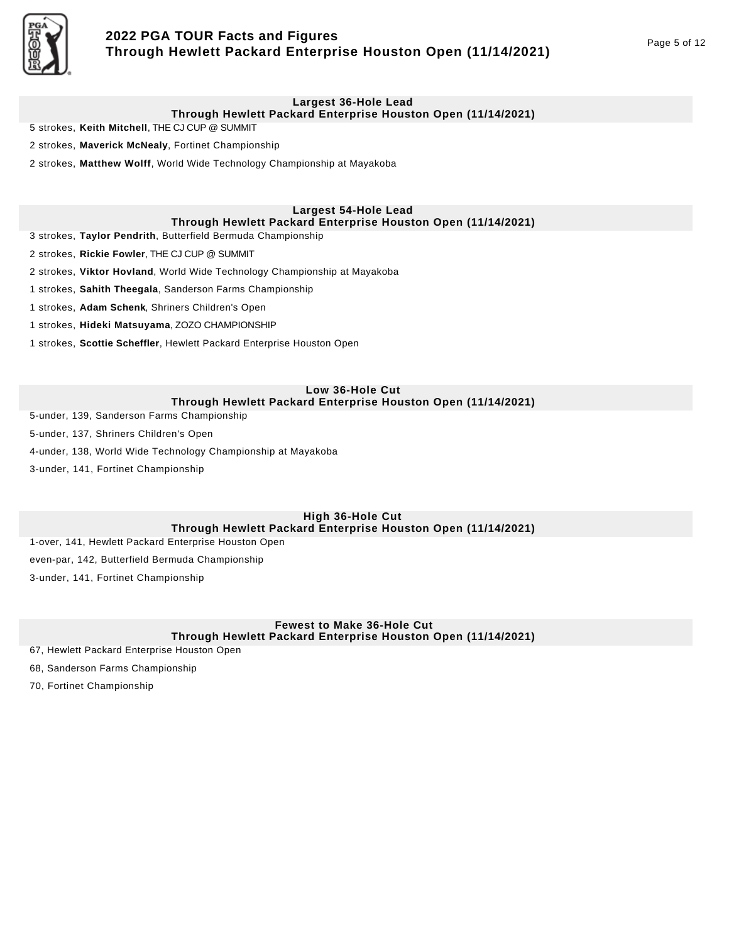

# **Largest 36-Hole Lead**

**Through Hewlett Packard Enterprise Houston Open (11/14/2021)** 

5 strokes, **Keith Mitchell**, THE CJ CUP @ SUMMIT

2 strokes, **Maverick McNealy**, Fortinet Championship

2 strokes, **Matthew Wolff**, World Wide Technology Championship at Mayakoba

## **Largest 54-Hole Lead Through Hewlett Packard Enterprise Houston Open (11/14/2021)**

3 strokes, **Taylor Pendrith**, Butterfield Bermuda Championship

2 strokes, **Rickie Fowler**, THE CJ CUP @ SUMMIT

- 2 strokes, **Viktor Hovland**, World Wide Technology Championship at Mayakoba
- 1 strokes, **Sahith Theegala**, Sanderson Farms Championship
- 1 strokes, **Adam Schenk**, Shriners Children's Open
- 1 strokes, **Hideki Matsuyama**, ZOZO CHAMPIONSHIP
- 1 strokes, **Scottie Scheffler**, Hewlett Packard Enterprise Houston Open

## **Low 36-Hole Cut**

### **Through Hewlett Packard Enterprise Houston Open (11/14/2021)**

5-under, 139, Sanderson Farms Championship

5-under, 137, Shriners Children's Open

4-under, 138, World Wide Technology Championship at Mayakoba

3-under, 141, Fortinet Championship

# **High 36-Hole Cut**

# **Through Hewlett Packard Enterprise Houston Open (11/14/2021)**

1-over, 141, Hewlett Packard Enterprise Houston Open

even-par, 142, Butterfield Bermuda Championship

3-under, 141, Fortinet Championship

#### **Fewest to Make 36-Hole Cut Through Hewlett Packard Enterprise Houston Open (11/14/2021)**

67, Hewlett Packard Enterprise Houston Open

68, Sanderson Farms Championship

70, Fortinet Championship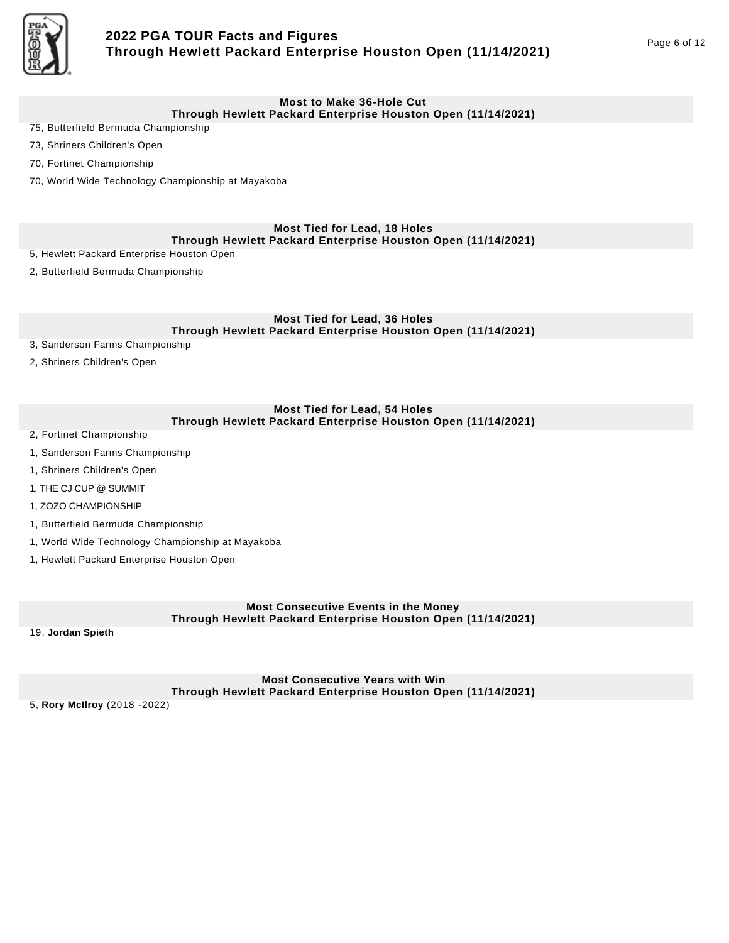

# **Most to Make 36-Hole Cut**

**Through Hewlett Packard Enterprise Houston Open (11/14/2021)** 

- 75, Butterfield Bermuda Championship
- 73, Shriners Children's Open
- 70, Fortinet Championship
- 70, World Wide Technology Championship at Mayakoba

**Most Tied for Lead, 18 Holes Through Hewlett Packard Enterprise Houston Open (11/14/2021)** 

5, Hewlett Packard Enterprise Houston Open

2, Butterfield Bermuda Championship

**Most Tied for Lead, 36 Holes Through Hewlett Packard Enterprise Houston Open (11/14/2021)** 

- 3, Sanderson Farms Championship
- 2, Shriners Children's Open

#### **Most Tied for Lead, 54 Holes Through Hewlett Packard Enterprise Houston Open (11/14/2021)**

- 2, Fortinet Championship
- 1, Sanderson Farms Championship
- 1, Shriners Children's Open
- 1, THE CJ CUP @ SUMMIT
- 1, ZOZO CHAMPIONSHIP
- 1, Butterfield Bermuda Championship
- 1, World Wide Technology Championship at Mayakoba
- 1, Hewlett Packard Enterprise Houston Open

#### **Most Consecutive Events in the Money Through Hewlett Packard Enterprise Houston Open (11/14/2021)**

19, **Jordan Spieth**

**Most Consecutive Years with Win Through Hewlett Packard Enterprise Houston Open (11/14/2021)** 

5, **Rory McIlroy** (2018 -2022)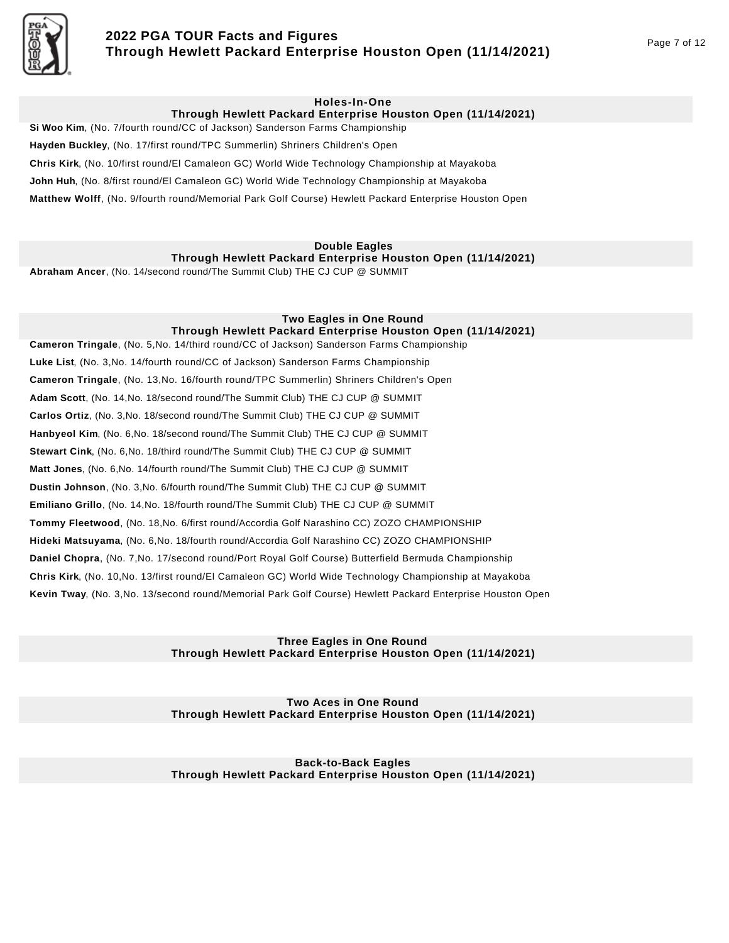

# **2022 PGA TOUR Facts and Figures Through Hewlett Packard Enterprise Houston Open (11/14/2021)** Page 7 of 12

## **Holes-In-One**

**Through Hewlett Packard Enterprise Houston Open (11/14/2021) Si Woo Kim**, (No. 7/fourth round/CC of Jackson) Sanderson Farms Championship **Hayden Buckley**, (No. 17/first round/TPC Summerlin) Shriners Children's Open **Chris Kirk**, (No. 10/first round/El Camaleon GC) World Wide Technology Championship at Mayakoba **John Huh**, (No. 8/first round/El Camaleon GC) World Wide Technology Championship at Mayakoba **Matthew Wolff**, (No. 9/fourth round/Memorial Park Golf Course) Hewlett Packard Enterprise Houston Open

#### **Double Eagles**

#### **Through Hewlett Packard Enterprise Houston Open (11/14/2021)**

**Abraham Ancer**, (No. 14/second round/The Summit Club) THE CJ CUP @ SUMMIT

## **Two Eagles in One Round**

**Through Hewlett Packard Enterprise Houston Open (11/14/2021) Cameron Tringale**, (No. 5,No. 14/third round/CC of Jackson) Sanderson Farms Championship **Luke List**, (No. 3,No. 14/fourth round/CC of Jackson) Sanderson Farms Championship **Cameron Tringale**, (No. 13,No. 16/fourth round/TPC Summerlin) Shriners Children's Open **Adam Scott**, (No. 14,No. 18/second round/The Summit Club) THE CJ CUP @ SUMMIT **Carlos Ortiz**, (No. 3,No. 18/second round/The Summit Club) THE CJ CUP @ SUMMIT **Hanbyeol Kim**, (No. 6,No. 18/second round/The Summit Club) THE CJ CUP @ SUMMIT **Stewart Cink**, (No. 6,No. 18/third round/The Summit Club) THE CJ CUP @ SUMMIT **Matt Jones**, (No. 6,No. 14/fourth round/The Summit Club) THE CJ CUP @ SUMMIT **Dustin Johnson**, (No. 3,No. 6/fourth round/The Summit Club) THE CJ CUP @ SUMMIT **Emiliano Grillo**, (No. 14,No. 18/fourth round/The Summit Club) THE CJ CUP @ SUMMIT **Tommy Fleetwood**, (No. 18,No. 6/first round/Accordia Golf Narashino CC) ZOZO CHAMPIONSHIP **Hideki Matsuyama**, (No. 6,No. 18/fourth round/Accordia Golf Narashino CC) ZOZO CHAMPIONSHIP **Daniel Chopra**, (No. 7,No. 17/second round/Port Royal Golf Course) Butterfield Bermuda Championship **Chris Kirk**, (No. 10,No. 13/first round/El Camaleon GC) World Wide Technology Championship at Mayakoba **Kevin Tway**, (No. 3,No. 13/second round/Memorial Park Golf Course) Hewlett Packard Enterprise Houston Open

> **Three Eagles in One Round Through Hewlett Packard Enterprise Houston Open (11/14/2021)**

> **Two Aces in One Round Through Hewlett Packard Enterprise Houston Open (11/14/2021)**

> **Back-to-Back Eagles Through Hewlett Packard Enterprise Houston Open (11/14/2021)**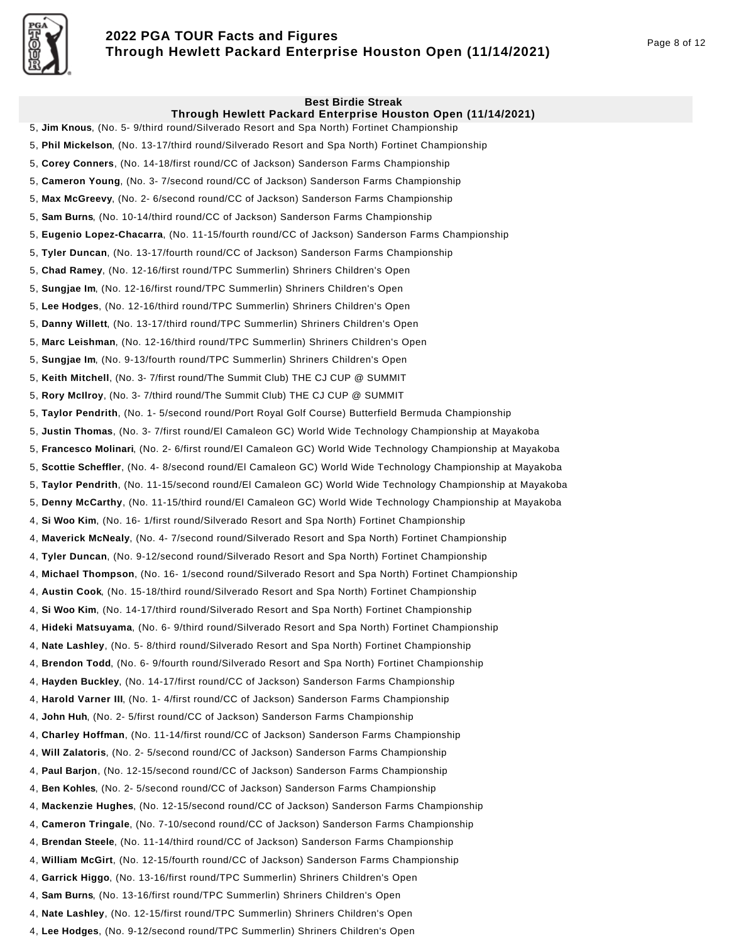

## **Best Birdie Streak**

- **Through Hewlett Packard Enterprise Houston Open (11/14/2021)**  5, **Jim Knous**, (No. 5- 9/third round/Silverado Resort and Spa North) Fortinet Championship 5, **Phil Mickelson**, (No. 13-17/third round/Silverado Resort and Spa North) Fortinet Championship 5, **Corey Conners**, (No. 14-18/first round/CC of Jackson) Sanderson Farms Championship 5, **Cameron Young**, (No. 3- 7/second round/CC of Jackson) Sanderson Farms Championship 5, **Max McGreevy**, (No. 2- 6/second round/CC of Jackson) Sanderson Farms Championship 5, **Sam Burns**, (No. 10-14/third round/CC of Jackson) Sanderson Farms Championship 5, **Eugenio Lopez-Chacarra**, (No. 11-15/fourth round/CC of Jackson) Sanderson Farms Championship 5, **Tyler Duncan**, (No. 13-17/fourth round/CC of Jackson) Sanderson Farms Championship 5, **Chad Ramey**, (No. 12-16/first round/TPC Summerlin) Shriners Children's Open 5, **Sungjae Im**, (No. 12-16/first round/TPC Summerlin) Shriners Children's Open 5, **Lee Hodges**, (No. 12-16/third round/TPC Summerlin) Shriners Children's Open 5, **Danny Willett**, (No. 13-17/third round/TPC Summerlin) Shriners Children's Open 5, **Marc Leishman**, (No. 12-16/third round/TPC Summerlin) Shriners Children's Open 5, **Sungjae Im**, (No. 9-13/fourth round/TPC Summerlin) Shriners Children's Open 5, **Keith Mitchell**, (No. 3- 7/first round/The Summit Club) THE CJ CUP @ SUMMIT 5, **Rory McIlroy**, (No. 3- 7/third round/The Summit Club) THE CJ CUP @ SUMMIT 5, **Taylor Pendrith**, (No. 1- 5/second round/Port Royal Golf Course) Butterfield Bermuda Championship 5, **Justin Thomas**, (No. 3- 7/first round/El Camaleon GC) World Wide Technology Championship at Mayakoba 5, **Francesco Molinari**, (No. 2- 6/first round/El Camaleon GC) World Wide Technology Championship at Mayakoba 5, **Scottie Scheffler**, (No. 4- 8/second round/El Camaleon GC) World Wide Technology Championship at Mayakoba 5, **Taylor Pendrith**, (No. 11-15/second round/El Camaleon GC) World Wide Technology Championship at Mayakoba 5, **Denny McCarthy**, (No. 11-15/third round/El Camaleon GC) World Wide Technology Championship at Mayakoba 4, **Si Woo Kim**, (No. 16- 1/first round/Silverado Resort and Spa North) Fortinet Championship 4, **Maverick McNealy**, (No. 4- 7/second round/Silverado Resort and Spa North) Fortinet Championship 4, **Tyler Duncan**, (No. 9-12/second round/Silverado Resort and Spa North) Fortinet Championship 4, **Michael Thompson**, (No. 16- 1/second round/Silverado Resort and Spa North) Fortinet Championship 4, **Austin Cook**, (No. 15-18/third round/Silverado Resort and Spa North) Fortinet Championship 4, **Si Woo Kim**, (No. 14-17/third round/Silverado Resort and Spa North) Fortinet Championship 4, **Hideki Matsuyama**, (No. 6- 9/third round/Silverado Resort and Spa North) Fortinet Championship 4, **Nate Lashley**, (No. 5- 8/third round/Silverado Resort and Spa North) Fortinet Championship 4, **Brendon Todd**, (No. 6- 9/fourth round/Silverado Resort and Spa North) Fortinet Championship 4, **Hayden Buckley**, (No. 14-17/first round/CC of Jackson) Sanderson Farms Championship 4, **Harold Varner III**, (No. 1- 4/first round/CC of Jackson) Sanderson Farms Championship 4, **John Huh**, (No. 2- 5/first round/CC of Jackson) Sanderson Farms Championship 4, **Charley Hoffman**, (No. 11-14/first round/CC of Jackson) Sanderson Farms Championship 4, **Will Zalatoris**, (No. 2- 5/second round/CC of Jackson) Sanderson Farms Championship 4, **Paul Barjon**, (No. 12-15/second round/CC of Jackson) Sanderson Farms Championship 4, **Ben Kohles**, (No. 2- 5/second round/CC of Jackson) Sanderson Farms Championship 4, **Mackenzie Hughes**, (No. 12-15/second round/CC of Jackson) Sanderson Farms Championship 4, **Cameron Tringale**, (No. 7-10/second round/CC of Jackson) Sanderson Farms Championship 4, **Brendan Steele**, (No. 11-14/third round/CC of Jackson) Sanderson Farms Championship 4, **William McGirt**, (No. 12-15/fourth round/CC of Jackson) Sanderson Farms Championship 4, **Garrick Higgo**, (No. 13-16/first round/TPC Summerlin) Shriners Children's Open 4, **Sam Burns**, (No. 13-16/first round/TPC Summerlin) Shriners Children's Open 4, **Nate Lashley**, (No. 12-15/first round/TPC Summerlin) Shriners Children's Open
	- 4, **Lee Hodges**, (No. 9-12/second round/TPC Summerlin) Shriners Children's Open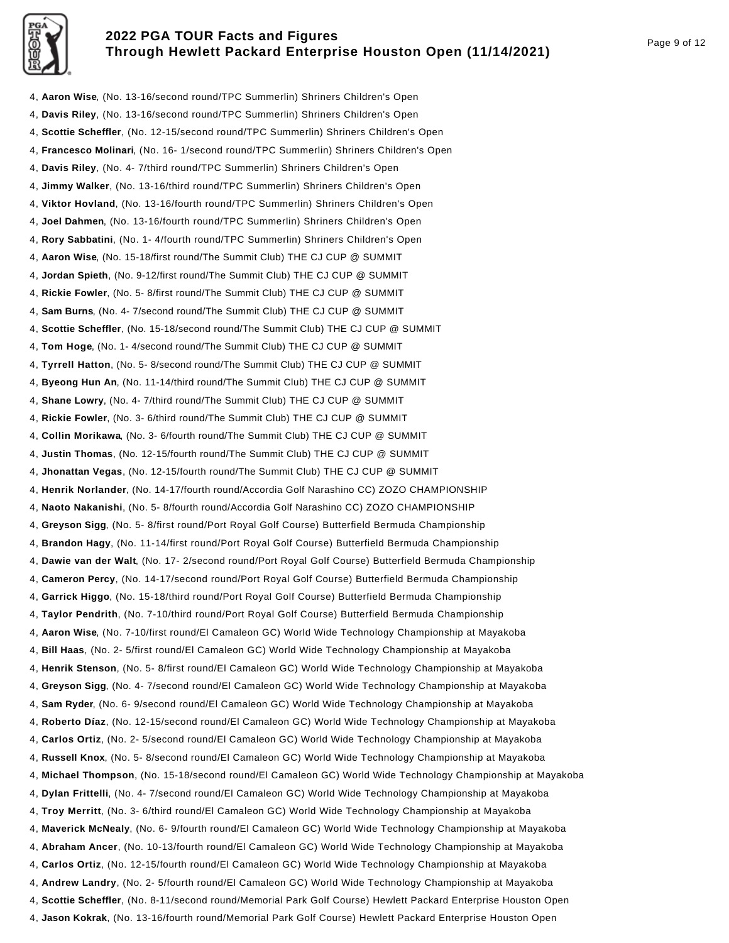

# **2022 PGA TOUR Facts and Figures Through Hewlett Packard Enterprise Houston Open (11/14/2021)** Page 9 of 12

4, **Aaron Wise**, (No. 13-16/second round/TPC Summerlin) Shriners Children's Open 4, **Davis Riley**, (No. 13-16/second round/TPC Summerlin) Shriners Children's Open 4, **Scottie Scheffler**, (No. 12-15/second round/TPC Summerlin) Shriners Children's Open 4, **Francesco Molinari**, (No. 16- 1/second round/TPC Summerlin) Shriners Children's Open 4, **Davis Riley**, (No. 4- 7/third round/TPC Summerlin) Shriners Children's Open 4, **Jimmy Walker**, (No. 13-16/third round/TPC Summerlin) Shriners Children's Open 4, **Viktor Hovland**, (No. 13-16/fourth round/TPC Summerlin) Shriners Children's Open 4, **Joel Dahmen**, (No. 13-16/fourth round/TPC Summerlin) Shriners Children's Open 4, **Rory Sabbatini**, (No. 1- 4/fourth round/TPC Summerlin) Shriners Children's Open 4, **Aaron Wise**, (No. 15-18/first round/The Summit Club) THE CJ CUP @ SUMMIT 4, **Jordan Spieth**, (No. 9-12/first round/The Summit Club) THE CJ CUP @ SUMMIT 4, **Rickie Fowler**, (No. 5- 8/first round/The Summit Club) THE CJ CUP @ SUMMIT 4, **Sam Burns**, (No. 4- 7/second round/The Summit Club) THE CJ CUP @ SUMMIT 4, **Scottie Scheffler**, (No. 15-18/second round/The Summit Club) THE CJ CUP @ SUMMIT 4, **Tom Hoge**, (No. 1- 4/second round/The Summit Club) THE CJ CUP @ SUMMIT 4, **Tyrrell Hatton**, (No. 5- 8/second round/The Summit Club) THE CJ CUP @ SUMMIT 4, **Byeong Hun An**, (No. 11-14/third round/The Summit Club) THE CJ CUP @ SUMMIT 4, **Shane Lowry**, (No. 4- 7/third round/The Summit Club) THE CJ CUP @ SUMMIT 4, **Rickie Fowler**, (No. 3- 6/third round/The Summit Club) THE CJ CUP @ SUMMIT 4, **Collin Morikawa**, (No. 3- 6/fourth round/The Summit Club) THE CJ CUP @ SUMMIT 4, **Justin Thomas**, (No. 12-15/fourth round/The Summit Club) THE CJ CUP @ SUMMIT 4, **Jhonattan Vegas**, (No. 12-15/fourth round/The Summit Club) THE CJ CUP @ SUMMIT 4, **Henrik Norlander**, (No. 14-17/fourth round/Accordia Golf Narashino CC) ZOZO CHAMPIONSHIP 4, **Naoto Nakanishi**, (No. 5- 8/fourth round/Accordia Golf Narashino CC) ZOZO CHAMPIONSHIP 4, **Greyson Sigg**, (No. 5- 8/first round/Port Royal Golf Course) Butterfield Bermuda Championship 4, **Brandon Hagy**, (No. 11-14/first round/Port Royal Golf Course) Butterfield Bermuda Championship 4, **Dawie van der Walt**, (No. 17- 2/second round/Port Royal Golf Course) Butterfield Bermuda Championship 4, **Cameron Percy**, (No. 14-17/second round/Port Royal Golf Course) Butterfield Bermuda Championship 4, **Garrick Higgo**, (No. 15-18/third round/Port Royal Golf Course) Butterfield Bermuda Championship 4, **Taylor Pendrith**, (No. 7-10/third round/Port Royal Golf Course) Butterfield Bermuda Championship 4, **Aaron Wise**, (No. 7-10/first round/El Camaleon GC) World Wide Technology Championship at Mayakoba 4, **Bill Haas**, (No. 2- 5/first round/El Camaleon GC) World Wide Technology Championship at Mayakoba 4, **Henrik Stenson**, (No. 5- 8/first round/El Camaleon GC) World Wide Technology Championship at Mayakoba 4, **Greyson Sigg**, (No. 4- 7/second round/El Camaleon GC) World Wide Technology Championship at Mayakoba 4, **Sam Ryder**, (No. 6- 9/second round/El Camaleon GC) World Wide Technology Championship at Mayakoba 4, **Roberto Díaz**, (No. 12-15/second round/El Camaleon GC) World Wide Technology Championship at Mayakoba 4, **Carlos Ortiz**, (No. 2- 5/second round/El Camaleon GC) World Wide Technology Championship at Mayakoba 4, **Russell Knox**, (No. 5- 8/second round/El Camaleon GC) World Wide Technology Championship at Mayakoba 4, **Michael Thompson**, (No. 15-18/second round/El Camaleon GC) World Wide Technology Championship at Mayakoba 4, **Dylan Frittelli**, (No. 4- 7/second round/El Camaleon GC) World Wide Technology Championship at Mayakoba 4, **Troy Merritt**, (No. 3- 6/third round/El Camaleon GC) World Wide Technology Championship at Mayakoba 4, **Maverick McNealy**, (No. 6- 9/fourth round/El Camaleon GC) World Wide Technology Championship at Mayakoba 4, **Abraham Ancer**, (No. 10-13/fourth round/El Camaleon GC) World Wide Technology Championship at Mayakoba 4, **Carlos Ortiz**, (No. 12-15/fourth round/El Camaleon GC) World Wide Technology Championship at Mayakoba 4, **Andrew Landry**, (No. 2- 5/fourth round/El Camaleon GC) World Wide Technology Championship at Mayakoba 4, **Scottie Scheffler**, (No. 8-11/second round/Memorial Park Golf Course) Hewlett Packard Enterprise Houston Open 4, **Jason Kokrak**, (No. 13-16/fourth round/Memorial Park Golf Course) Hewlett Packard Enterprise Houston Open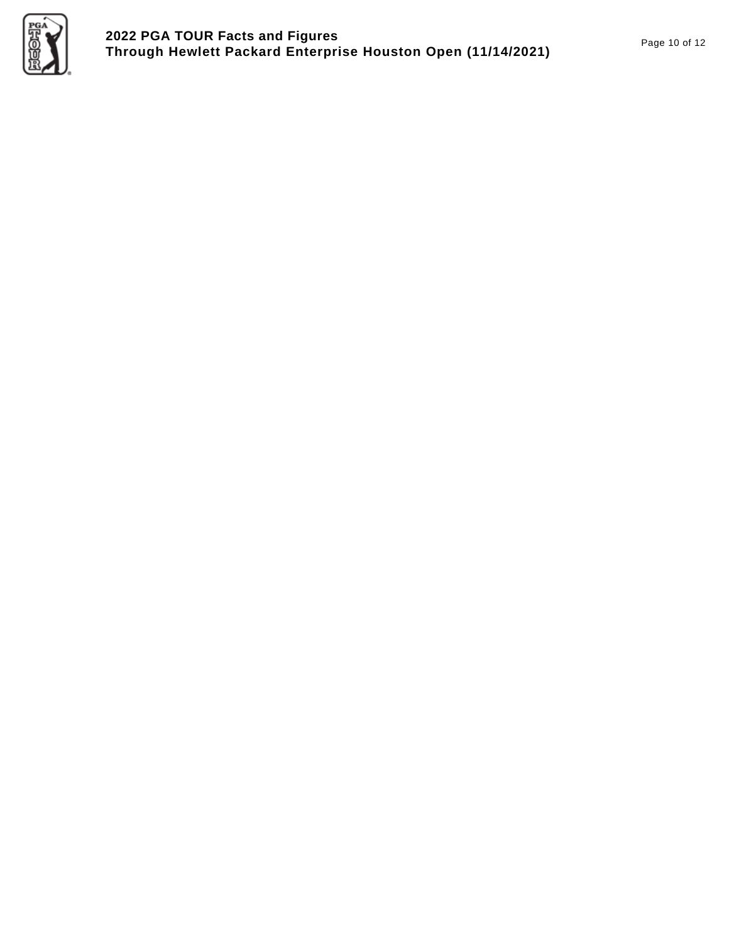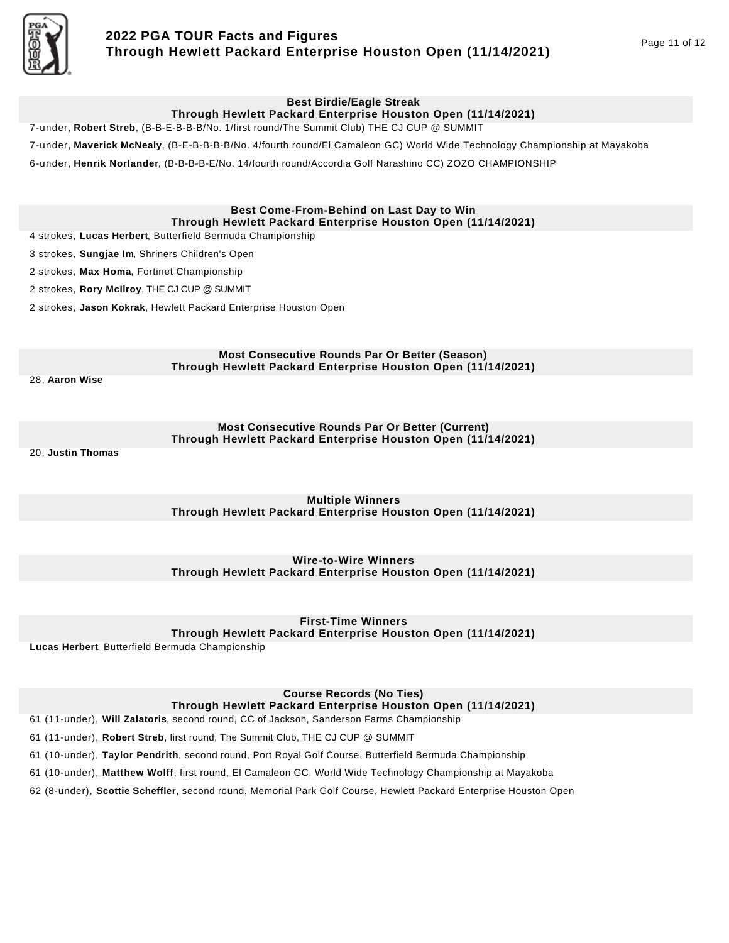

### **Best Birdie/Eagle Streak**

# **Through Hewlett Packard Enterprise Houston Open (11/14/2021)**

7-under, **Robert Streb**, (B-B-E-B-B-B/No. 1/first round/The Summit Club) THE CJ CUP @ SUMMIT

7-under, **Maverick McNealy**, (B-E-B-B-B-B/No. 4/fourth round/El Camaleon GC) World Wide Technology Championship at Mayakoba

6-under, **Henrik Norlander**, (B-B-B-B-E/No. 14/fourth round/Accordia Golf Narashino CC) ZOZO CHAMPIONSHIP

### **Best Come-From-Behind on Last Day to Win Through Hewlett Packard Enterprise Houston Open (11/14/2021)**

4 strokes, **Lucas Herbert**, Butterfield Bermuda Championship

3 strokes, **Sungjae Im**, Shriners Children's Open

2 strokes, **Max Homa**, Fortinet Championship

2 strokes, **Rory McIlroy**, THE CJ CUP @ SUMMIT

2 strokes, **Jason Kokrak**, Hewlett Packard Enterprise Houston Open

## **Most Consecutive Rounds Par Or Better (Season) Through Hewlett Packard Enterprise Houston Open (11/14/2021)**

28, **Aaron Wise**

#### **Most Consecutive Rounds Par Or Better (Current) Through Hewlett Packard Enterprise Houston Open (11/14/2021)**

20, **Justin Thomas**

## **Multiple Winners Through Hewlett Packard Enterprise Houston Open (11/14/2021)**

#### **Wire-to-Wire Winners Through Hewlett Packard Enterprise Houston Open (11/14/2021)**

## **First-Time Winners Through Hewlett Packard Enterprise Houston Open (11/14/2021)**

**Lucas Herbert**, Butterfield Bermuda Championship

#### **Course Records (No Ties)**

**Through Hewlett Packard Enterprise Houston Open (11/14/2021)** 

61 (11-under), **Will Zalatoris**, second round, CC of Jackson, Sanderson Farms Championship

- 61 (11-under), **Robert Streb**, first round, The Summit Club, THE CJ CUP @ SUMMIT
- 61 (10-under), **Taylor Pendrith**, second round, Port Royal Golf Course, Butterfield Bermuda Championship
- 61 (10-under), **Matthew Wolff**, first round, El Camaleon GC, World Wide Technology Championship at Mayakoba

62 (8-under), **Scottie Scheffler**, second round, Memorial Park Golf Course, Hewlett Packard Enterprise Houston Open